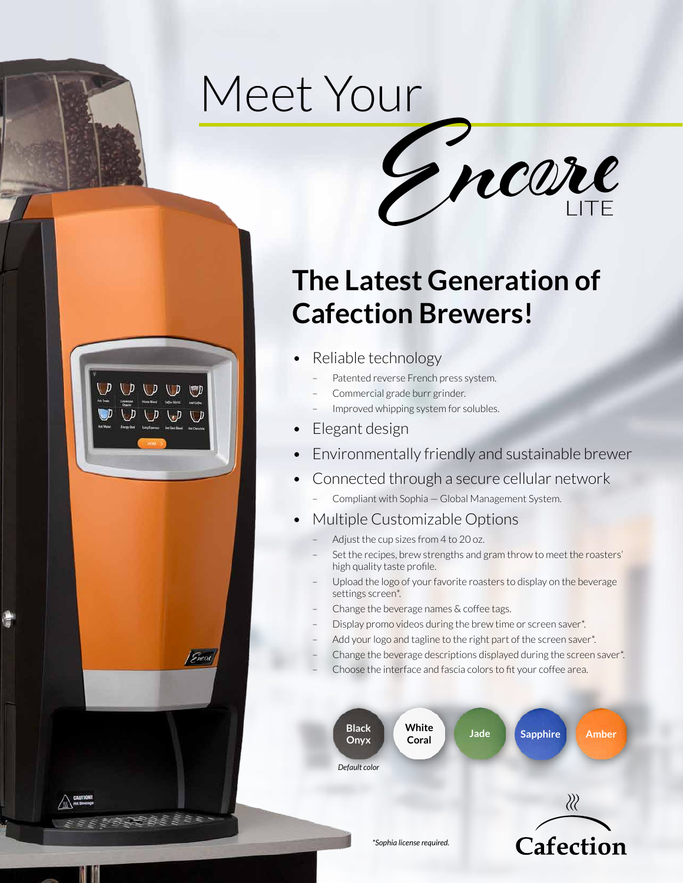# Meet Your



# **The Latest Generation of Cafection Brewers!**

- Reliable technology
	- Patented reverse French press system.
	- Commercial grade burr grinder.
	- Improved whipping system for solubles.
- Elegant design

UD UD

 $D \cup D \cup D \cup D$ 

Ducid

a a l'algebra

- Environmentally friendly and sustainable brewer
- Connected through a secure cellular network
	- Compliant with Sophia Global Management System.
- Multiple Customizable Options
	- Adjust the cup sizes from 4 to 20 oz.
	- Set the recipes, brew strengths and gram throw to meet the roasters' high quality taste profile.
	- Upload the logo of your favorite roasters to display on the beverage settings screen\*.
	- Change the beverage names & coffee tags.
	- Display promo videos during the brew time or screen saver\*.
	- Add your logo and tagline to the right part of the screen saver\*.
	- Change the beverage descriptions displayed during the screen saver\*.
	- Choose the interface and fascia colors to fit your coffee area.



 $\langle \rangle$ 

Cafection